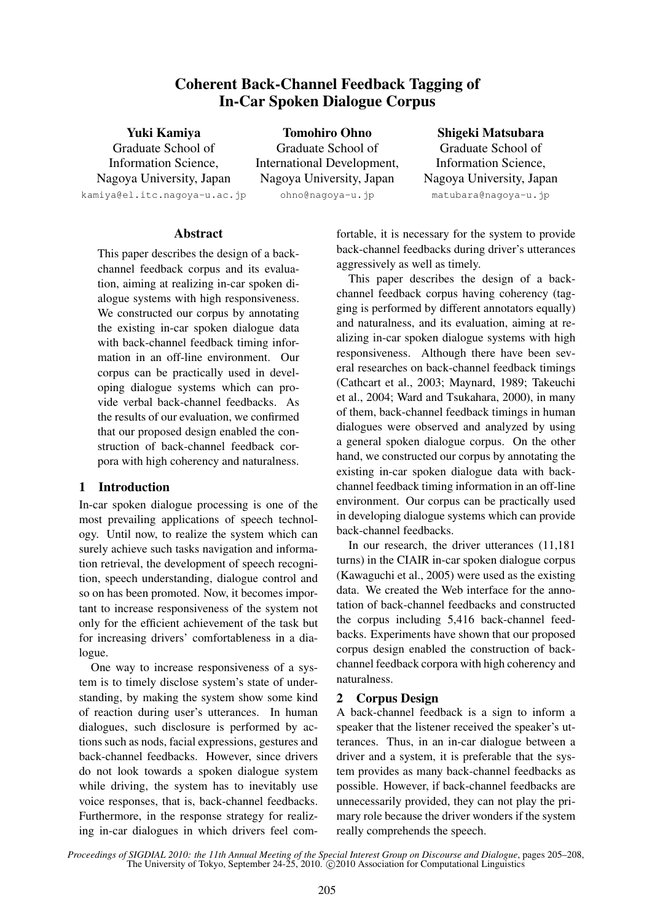# Coherent Back-Channel Feedback Tagging of In-Car Spoken Dialogue Corpus

Yuki Kamiya Graduate School of Information Science, Nagoya University, Japan kamiya@el.itc.nagoya-u.ac.jp

Tomohiro Ohno Graduate School of International Development, Nagoya University, Japan ohno@nagoya-u.jp

### Shigeki Matsubara

Graduate School of Information Science, Nagoya University, Japan matubara@nagoya-u.jp

### Abstract

This paper describes the design of a backchannel feedback corpus and its evaluation, aiming at realizing in-car spoken dialogue systems with high responsiveness. We constructed our corpus by annotating the existing in-car spoken dialogue data with back-channel feedback timing information in an off-line environment. Our corpus can be practically used in developing dialogue systems which can provide verbal back-channel feedbacks. As the results of our evaluation, we confirmed that our proposed design enabled the construction of back-channel feedback corpora with high coherency and naturalness.

## 1 Introduction

In-car spoken dialogue processing is one of the most prevailing applications of speech technology. Until now, to realize the system which can surely achieve such tasks navigation and information retrieval, the development of speech recognition, speech understanding, dialogue control and so on has been promoted. Now, it becomes important to increase responsiveness of the system not only for the efficient achievement of the task but for increasing drivers' comfortableness in a dialogue.

One way to increase responsiveness of a system is to timely disclose system's state of understanding, by making the system show some kind of reaction during user's utterances. In human dialogues, such disclosure is performed by actions such as nods, facial expressions, gestures and back-channel feedbacks. However, since drivers do not look towards a spoken dialogue system while driving, the system has to inevitably use voice responses, that is, back-channel feedbacks. Furthermore, in the response strategy for realizing in-car dialogues in which drivers feel comfortable, it is necessary for the system to provide back-channel feedbacks during driver's utterances aggressively as well as timely.

This paper describes the design of a backchannel feedback corpus having coherency (tagging is performed by different annotators equally) and naturalness, and its evaluation, aiming at realizing in-car spoken dialogue systems with high responsiveness. Although there have been several researches on back-channel feedback timings (Cathcart et al., 2003; Maynard, 1989; Takeuchi et al., 2004; Ward and Tsukahara, 2000), in many of them, back-channel feedback timings in human dialogues were observed and analyzed by using a general spoken dialogue corpus. On the other hand, we constructed our corpus by annotating the existing in-car spoken dialogue data with backchannel feedback timing information in an off-line environment. Our corpus can be practically used in developing dialogue systems which can provide back-channel feedbacks.

In our research, the driver utterances (11,181 turns) in the CIAIR in-car spoken dialogue corpus (Kawaguchi et al., 2005) were used as the existing data. We created the Web interface for the annotation of back-channel feedbacks and constructed the corpus including 5,416 back-channel feedbacks. Experiments have shown that our proposed corpus design enabled the construction of backchannel feedback corpora with high coherency and naturalness.

## 2 Corpus Design

A back-channel feedback is a sign to inform a speaker that the listener received the speaker's utterances. Thus, in an in-car dialogue between a driver and a system, it is preferable that the system provides as many back-channel feedbacks as possible. However, if back-channel feedbacks are unnecessarily provided, they can not play the primary role because the driver wonders if the system really comprehends the speech.

*Proceedings of SIGDIAL 2010: the 11th Annual Meeting of the Special Interest Group on Discourse and Dialogue*, pages 205–208, The University of Tokyo, September  $24-25$ ,  $2010$ .  $\odot$  2010 Association for Computational Linguistics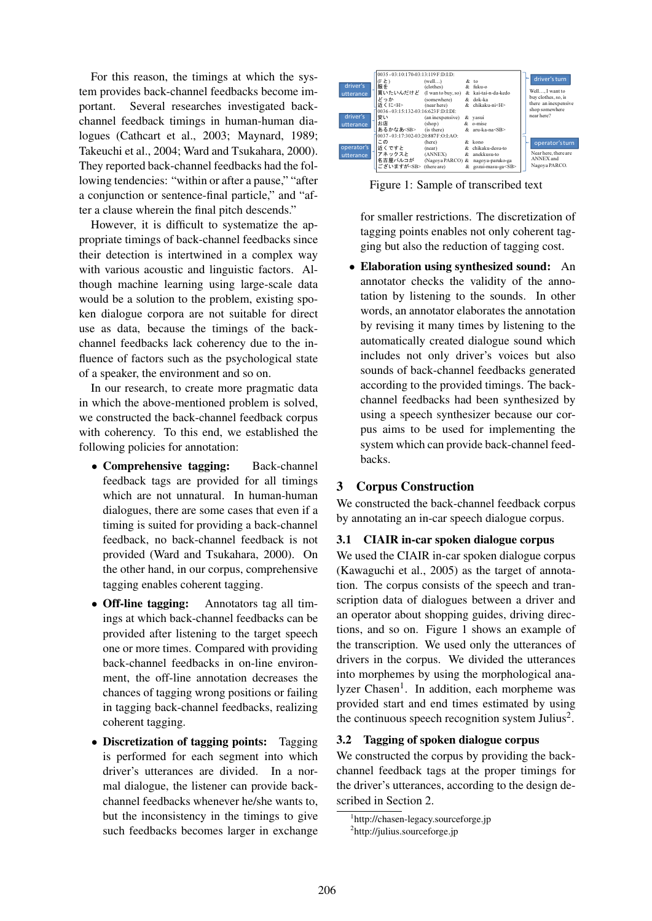For this reason, the timings at which the system provides back-channel feedbacks become important. Several researches investigated backchannel feedback timings in human-human dialogues (Cathcart et al., 2003; Maynard, 1989; Takeuchi et al., 2004; Ward and Tsukahara, 2000). They reported back-channel feedbacks had the following tendencies: "within or after a pause," "after a conjunction or sentence-final particle," and "after a clause wherein the final pitch descends."

However, it is difficult to systematize the appropriate timings of back-channel feedbacks since their detection is intertwined in a complex way with various acoustic and linguistic factors. Although machine learning using large-scale data would be a solution to the problem, existing spoken dialogue corpora are not suitable for direct use as data, because the timings of the backchannel feedbacks lack coherency due to the influence of factors such as the psychological state of a speaker, the environment and so on.

In our research, to create more pragmatic data in which the above-mentioned problem is solved, we constructed the back-channel feedback corpus with coherency. To this end, we established the following policies for annotation:

- Comprehensive tagging: Back-channel feedback tags are provided for all timings which are not unnatural. In human-human dialogues, there are some cases that even if a timing is suited for providing a back-channel feedback, no back-channel feedback is not provided (Ward and Tsukahara, 2000). On the other hand, in our corpus, comprehensive tagging enables coherent tagging.
- Off-line tagging: Annotators tag all timings at which back-channel feedbacks can be provided after listening to the target speech one or more times. Compared with providing back-channel feedbacks in on-line environment, the off-line annotation decreases the chances of tagging wrong positions or failing in tagging back-channel feedbacks, realizing coherent tagging.
- Discretization of tagging points: Tagging is performed for each segment into which driver's utterances are divided. In a normal dialogue, the listener can provide backchannel feedbacks whenever he/she wants to, but the inconsistency in the timings to give such feedbacks becomes larger in exchange



Figure 1: Sample of transcribed text

for smaller restrictions. The discretization of tagging points enables not only coherent tagging but also the reduction of tagging cost.

• Elaboration using synthesized sound: An annotator checks the validity of the annotation by listening to the sounds. In other words, an annotator elaborates the annotation by revising it many times by listening to the automatically created dialogue sound which includes not only driver's voices but also sounds of back-channel feedbacks generated according to the provided timings. The backchannel feedbacks had been synthesized by using a speech synthesizer because our corpus aims to be used for implementing the system which can provide back-channel feedbacks.

# 3 Corpus Construction

We constructed the back-channel feedback corpus by annotating an in-car speech dialogue corpus.

## 3.1 CIAIR in-car spoken dialogue corpus

We used the CIAIR in-car spoken dialogue corpus (Kawaguchi et al., 2005) as the target of annotation. The corpus consists of the speech and transcription data of dialogues between a driver and an operator about shopping guides, driving directions, and so on. Figure 1 shows an example of the transcription. We used only the utterances of drivers in the corpus. We divided the utterances into morphemes by using the morphological analyzer Chasen<sup>1</sup>. In addition, each morpheme was provided start and end times estimated by using the continuous speech recognition system Julius<sup>2</sup>.

## 3.2 Tagging of spoken dialogue corpus

We constructed the corpus by providing the backchannel feedback tags at the proper timings for the driver's utterances, according to the design described in Section 2.

<sup>1</sup> http://chasen-legacy.sourceforge.jp 2 http://julius.sourceforge.jp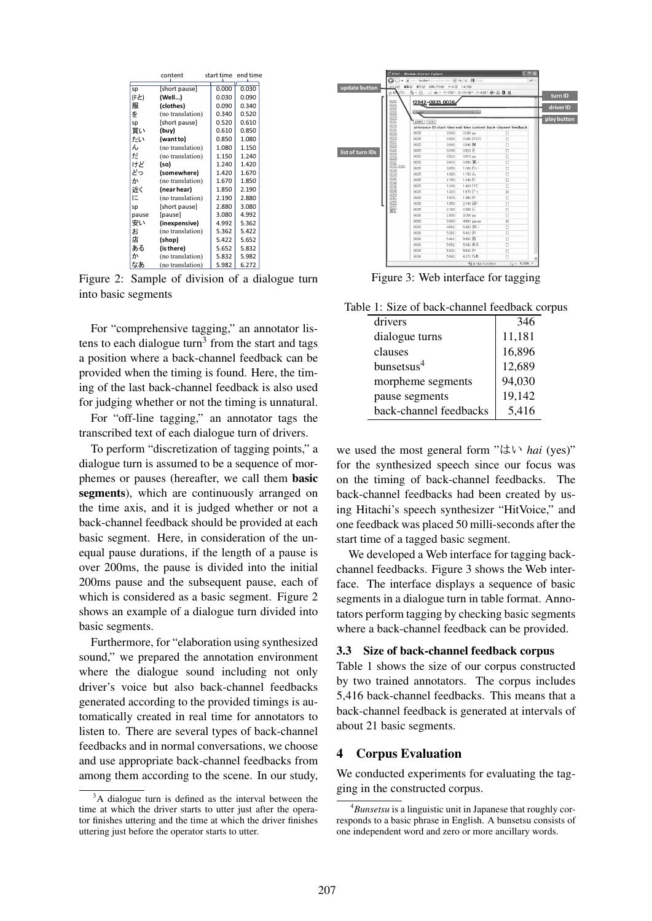|       | content          | start time |       | end time |  |
|-------|------------------|------------|-------|----------|--|
| sp    | [short pause]    |            | 0.000 | 0.030    |  |
| (Fと)  | (Well)           |            | 0.030 | 0.090    |  |
| 服     | (clothes)        |            | 0.090 | 0.340    |  |
| を     | (no translation) |            | 0.340 | 0.520    |  |
| sp    | [short pause]    |            | 0.520 | 0.610    |  |
| 買い    | (buy)            |            | 0.610 | 0.850    |  |
| たい    | (want to)        |            | 0.850 | 1.080    |  |
| ん     | (no translation) |            | 1.080 | 1.150    |  |
| だ     | (no translation) |            | 1.150 | 1.240    |  |
| けど    | (so)             |            | 1.240 | 1.420    |  |
| どっ    | (somewhere)      |            | 1.420 | 1.670    |  |
| か     | (no translation) |            | 1.670 | 1.850    |  |
| 近く    | (near hear)      |            | 1.850 | 2.190    |  |
| $I =$ | (no translation) |            | 2.190 | 2.880    |  |
| sp    | [short pause]    |            | 2.880 | 3.080    |  |
| pause | [pause]          |            | 3.080 | 4.992    |  |
| 安い    | (inexpensive)    |            | 4.992 | 5.362    |  |
| お     | (no translation) |            | 5.362 | 5.422    |  |
| 店     | (shop)           |            | 5.422 | 5.652    |  |
| ある    | (is there)       |            | 5.652 | 5.832    |  |
| か     | (no translation) |            | 5.832 | 5.982    |  |
| なあ    | (no translation) |            | 5.982 | 6.272    |  |

Figure 2: Sample of division of a dialogue turn into basic segments

For "comprehensive tagging," an annotator listens to each dialogue turn<sup>3</sup> from the start and tags a position where a back-channel feedback can be provided when the timing is found. Here, the timing of the last back-channel feedback is also used for judging whether or not the timing is unnatural.

For "off-line tagging," an annotator tags the transcribed text of each dialogue turn of drivers.

To perform "discretization of tagging points," a dialogue turn is assumed to be a sequence of morphemes or pauses (hereafter, we call them basic segments), which are continuously arranged on the time axis, and it is judged whether or not a back-channel feedback should be provided at each basic segment. Here, in consideration of the unequal pause durations, if the length of a pause is over 200ms, the pause is divided into the initial 200ms pause and the subsequent pause, each of which is considered as a basic segment. Figure 2 shows an example of a dialogue turn divided into basic segments.

Furthermore, for "elaboration using synthesized sound," we prepared the annotation environment where the dialogue sound including not only driver's voice but also back-channel feedbacks generated according to the provided timings is automatically created in real time for annotators to listen to. There are several types of back-channel feedbacks and in normal conversations, we choose and use appropriate back-channel feedbacks from among them according to the scene. In our study,



Figure 3: Web interface for tagging

| Table 1: Size of back-channel feedback corpus |
|-----------------------------------------------|
|-----------------------------------------------|

| drivers                | 346    |
|------------------------|--------|
| dialogue turns         | 11,181 |
| clauses                | 16,896 |
| bunsetsus <sup>4</sup> | 12,689 |
| morpheme segments      | 94,030 |
| pause segments         | 19,142 |
| back-channel feedbacks | 5,416  |

we used the most general form "はい *hai* (yes)" for the synthesized speech since our focus was on the timing of back-channel feedbacks. The back-channel feedbacks had been created by using Hitachi's speech synthesizer "HitVoice," and one feedback was placed 50 milli-seconds after the start time of a tagged basic segment.

We developed a Web interface for tagging backchannel feedbacks. Figure 3 shows the Web interface. The interface displays a sequence of basic segments in a dialogue turn in table format. Annotators perform tagging by checking basic segments where a back-channel feedback can be provided.

#### 3.3 Size of back-channel feedback corpus

Table 1 shows the size of our corpus constructed by two trained annotators. The corpus includes 5,416 back-channel feedbacks. This means that a back-channel feedback is generated at intervals of about 21 basic segments.

#### 4 Corpus Evaluation

We conducted experiments for evaluating the tagging in the constructed corpus.

 $3A$  dialogue turn is defined as the interval between the time at which the driver starts to utter just after the operator finishes uttering and the time at which the driver finishes uttering just before the operator starts to utter.

<sup>4</sup>*Bunsetsu* is a linguistic unit in Japanese that roughly corresponds to a basic phrase in English. A bunsetsu consists of one independent word and zero or more ancillary words.